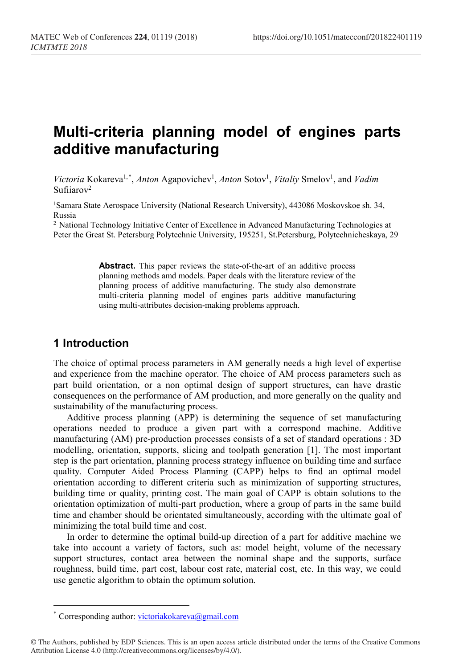# **Multi-criteria planning model of engines parts additive manufacturing**

Victoria Kokareva<sup>1,[\\*](#page-0-0)</sup>, *Anton* Agapovichev<sup>1</sup>, *Anton* Sotov<sup>1</sup>, *Vitaliy* Smelov<sup>1</sup>, and *Vadim* Sufiiarov $2$ 

1Samara State Aerospace University (National Research University), 443086 Moskovskoe sh. 34, Russia

<sup>2</sup> National Technology Initiative Center of Excellence in Advanced Manufacturing Technologies at Peter the Great St. Petersburg Polytechnic University, 195251, St.Petersburg, Polytechnicheskaya, 29

> Abstract. This paper reviews the state-of-the-art of an additive process planning methods amd models. Paper deals with the literature review of the planning process of additive manufacturing. The study also demonstrate multi-criteria planning model of engines parts additive manufacturing using multi-attributes decision-making problems approach.

## **1 Introduction**

 $\overline{a}$ 

The choice of optimal process parameters in AM generally needs a high level of expertise and experience from the machine operator. The choice of AM process parameters such as part build orientation, or a non optimal design of support structures, can have drastic consequences on the performance of AM production, and more generally on the quality and sustainability of the manufacturing process.

Additive process planning (APP) is determining the sequence of set manufacturing operations needed to produce a given part with a correspond machine. Additive manufacturing (AM) pre-production processes consists of a set of standard operations : 3D modelling, orientation, supports, slicing and toolpath generation [1]. The most important step is the part orientation, planning process strategy influence on building time and surface quality. Computer Aided Process Planning (CAPP) helps to find an optimal model orientation according to different criteria such as minimization of supporting structures, building time or quality, printing cost. The main goal of CAPP is obtain solutions to the orientation optimization of multi-part production, where a group of parts in the same build time and chamber should be orientated simultaneously, according with the ultimate goal of minimizing the total build time and cost.

In order to determine the optimal build-up direction of a part for additive machine we take into account a variety of factors, such as: model height, volume of the necessary support structures, contact area between the nominal shape and the supports, surface roughness, build time, part cost, labour cost rate, material cost, etc. In this way, we could use genetic algorithm to obtain the optimum solution.

<sup>\*</sup> Corresponding author: victoriakokareva@gmail.com

<span id="page-0-0"></span><sup>©</sup> The Authors, published by EDP Sciences. This is an open access article distributed under the terms of the Creative Commons Attribution License 4.0 (http://creativecommons.org/licenses/by/4.0/).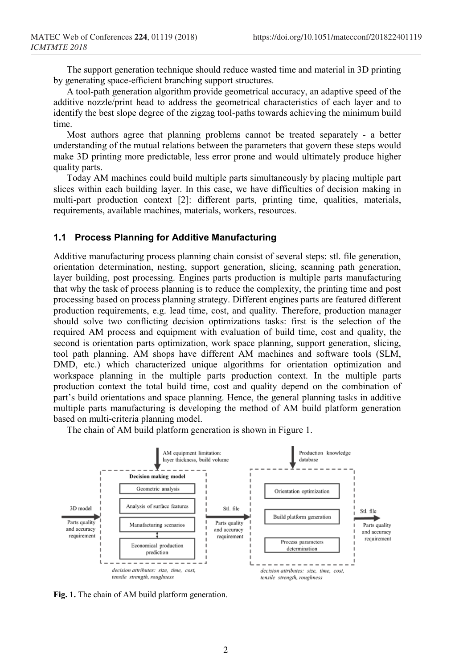The support generation technique should reduce wasted time and material in 3D printing by generating space-efficient branching support structures.

A tool-path generation algorithm provide geometrical accuracy, an adaptive speed of the additive nozzle/print head to address the geometrical characteristics of each layer and to identify the best slope degree of the zigzag tool-paths towards achieving the minimum build time.

Most authors agree that planning problems cannot be treated separately - a better understanding of the mutual relations between the parameters that govern these steps would make 3D printing more predictable, less error prone and would ultimately produce higher quality parts.

Today AM machines could build multiple parts simultaneously by placing multiple part slices within each building layer. In this case, we have difficulties of decision making in multi-part production context [2]: different parts, printing time, qualities, materials, requirements, available machines, materials, workers, resources.

#### **1.1 Process Planning for Additive Manufacturing**

Additive manufacturing process planning chain consist of several steps: stl. file generation, orientation determination, nesting, support generation, slicing, scanning path generation, layer building, post processing. Engines parts production is multiple parts manufacturing that why the task of process planning is to reduce the complexity, the printing time and post processing based on process planning strategy. Different engines parts are featured different production requirements, e.g. lead time, cost, and quality. Therefore, production manager should solve two conflicting decision optimizations tasks: first is the selection of the required AM process and equipment with evaluation of build time, cost and quality, the second is orientation parts optimization, work space planning, support generation, slicing, tool path planning. AM shops have different AM machines and software tools (SLM, DMD, etc.) which characterized unique algorithms for orientation optimization and workspace planning in the multiple parts production context. In the multiple parts production context the total build time, cost and quality depend on the combination of part's build orientations and space planning. Hence, the general planning tasks in additive multiple parts manufacturing is developing the method of AM build platform generation based on multi-criteria planning model.

The chain of AM build platform generation is shown in Figure 1.



**Fig. 1.** The chain of AM build platform generation.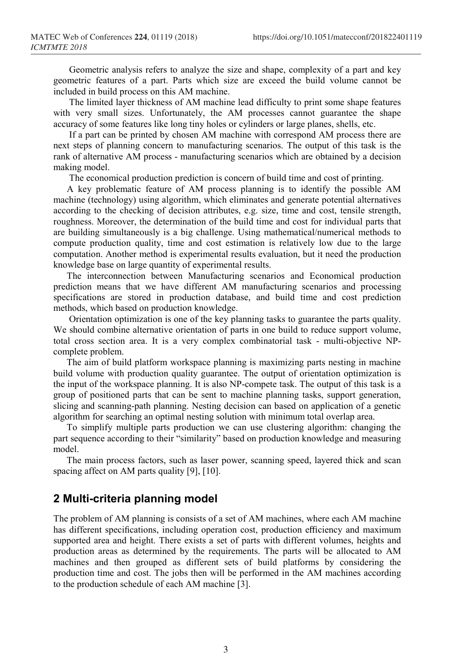Geometric analysis refers to analyze the size and shape, complexity of a part and key geometric features of a part. Parts which size are exceed the build volume cannot be included in build process on this AM machine.

The limited layer thickness of AM machine lead difficulty to print some shape features with very small sizes. Unfortunately, the AM processes cannot guarantee the shape accuracy of some features like long tiny holes or cylinders or large planes, shells, etc.

If a part can be printed by chosen AM machine with correspond AM process there are next steps of planning concern to manufacturing scenarios. The output of this task is the rank of alternative AM process - manufacturing scenarios which are obtained by a decision making model.

The economical production prediction is concern of build time and cost of printing.

A key problematic feature of AM process planning is to identify the possible AM machine (technology) using algorithm, which eliminates and generate potential alternatives according to the checking of decision attributes, e.g. size, time and cost, tensile strength, roughness. Moreover, the determination of the build time and cost for individual parts that are building simultaneously is a big challenge. Using mathematical/numerical methods to compute production quality, time and cost estimation is relatively low due to the large computation. Another method is experimental results evaluation, but it need the production knowledge base on large quantity of experimental results.

The interconnection between Manufacturing scenarios and Economical production prediction means that we have different AM manufacturing scenarios and processing specifications are stored in production database, and build time and cost prediction methods, which based on production knowledge.

Orientation optimization is one of the key planning tasks to guarantee the parts quality. We should combine alternative orientation of parts in one build to reduce support volume, total cross section area. It is a very complex combinatorial task - multi-objective NPcomplete problem.

The aim of build platform workspace planning is maximizing parts nesting in machine build volume with production quality guarantee. The output of orientation optimization is the input of the workspace planning. It is also NP-compete task. The output of this task is a group of positioned parts that can be sent to machine planning tasks, support generation, slicing and scanning-path planning. Nesting decision can based on application of a genetic algorithm for searching an optimal nesting solution with minimum total overlap area.

To simplify multiple parts production we can use clustering algorithm: changing the part sequence according to their "similarity" based on production knowledge and measuring model.

The main process factors, such as laser power, scanning speed, layered thick and scan spacing affect on AM parts quality [9], [10].

### **2 Multi-criteria planning model**

The problem of AM planning is consists of a set of AM machines, where each AM machine has different specifications, including operation cost, production efficiency and maximum supported area and height. There exists a set of parts with different volumes, heights and production areas as determined by the requirements. The parts will be allocated to AM machines and then grouped as different sets of build platforms by considering the production time and cost. The jobs then will be performed in the AM machines according to the production schedule of each AM machine [3].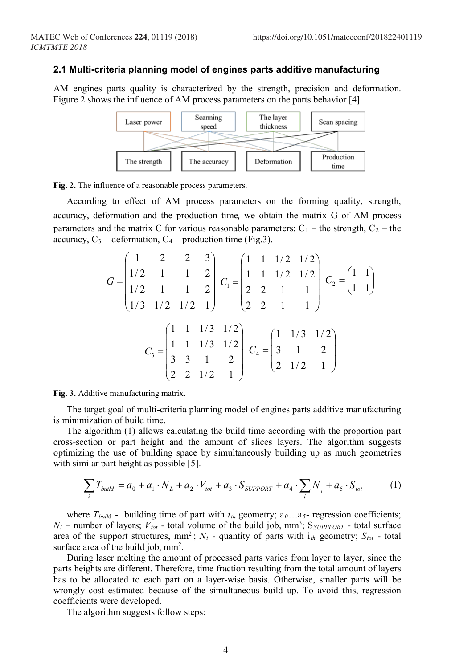#### **2.1 Multi-criteria planning model of engines parts additive manufacturing**

AM engines parts quality is characterized by the strength, precision and deformation. Figure 2 shows the influence of AM process parameters on the parts behavior [4].



**Fig. 2.** The influence of a reasonable process parameters.

According to effect of AM process parameters on the forming quality, strength, accuracy, deformation and the production time, we obtain the matrix G of AM process parameters and the matrix C for various reasonable parameters:  $C_1$  – the strength,  $C_2$  – the accuracy,  $C_3$  – deformation,  $C_4$  – production time (Fig.3).

$$
G = \begin{pmatrix} 1 & 2 & 2 & 3 \\ 1/2 & 1 & 1 & 2 \\ 1/2 & 1 & 1 & 2 \\ 1/3 & 1/2 & 1/2 & 1 \end{pmatrix} C_1 = \begin{pmatrix} 1 & 1 & 1/2 & 1/2 \\ 1 & 1 & 1/2 & 1/2 \\ 2 & 2 & 1 & 1 \\ 2 & 2 & 1 & 1 \end{pmatrix} C_2 = \begin{pmatrix} 1 & 1 \\ 1 & 1 \end{pmatrix}
$$

$$
C_3 = \begin{pmatrix} 1 & 1 & 1/3 & 1/2 \\ 1 & 1 & 1/3 & 1/2 \\ 3 & 3 & 1 & 2 \\ 2 & 2 & 1/2 & 1 \end{pmatrix} C_4 = \begin{pmatrix} 1 & 1/3 & 1/2 \\ 3 & 1 & 2 \\ 2 & 1/2 & 1 \end{pmatrix}
$$

**Fig. 3.** Additive manufacturing matrix.

The target goal of multi-criteria planning model of engines parts additive manufacturing is minimization of build time.

The algorithm (1) allows calculating the build time according with the proportion part cross-section or part height and the amount of slices layers. The algorithm suggests optimizing the use of building space by simultaneously building up as much geometries with similar part height as possible [5].

$$
\sum_{i} T_{build} = a_0 + a_1 \cdot N_L + a_2 \cdot V_{tot} + a_3 \cdot S_{SUPPORT} + a_4 \cdot \sum_{i} N_i + a_5 \cdot S_{tot}
$$
 (1)

where  $T_{build}$  - building time of part with  $i_{th}$  geometry;  $a_0...a_5$ - regression coefficients;  $N_l$  – number of layers;  $V_{tot}$  - total volume of the build job, mm<sup>3</sup>;  $S_{SUPPPORT}$  - total surface area of the support structures, mm<sup>2</sup>;  $N_i$  - quantity of parts with  $i_{th}$  geometry;  $S_{tot}$  - total surface area of the build job, mm<sup>2</sup>.

During laser melting the amount of processed parts varies from layer to layer, since the parts heights are different. Therefore, time fraction resulting from the total amount of layers has to be allocated to each part on a layer-wise basis. Otherwise, smaller parts will be wrongly cost estimated because of the simultaneous build up. To avoid this, regression coefficients were developed.

The algorithm suggests follow steps: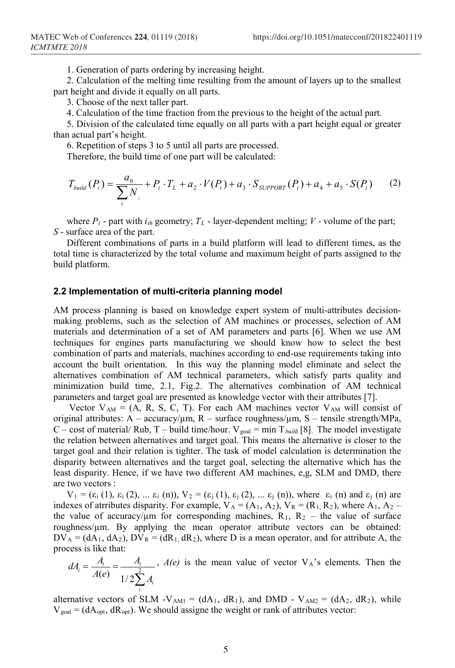1. Generation of parts ordering by increasing height.

2. Calculation of the melting time resulting from the amount of layers up to the smallest part height and divide it equally on all parts.

3. Choose of the next taller part.

4. Calculation of the time fraction from the previous to the height of the actual part.

5. Division of the calculated time equally on all parts with a part height equal or greater than actual part's height.

6. Repetition of steps 3 to 5 until all parts are processed.

Therefore, the build time of one part will be calculated:

$$
T_{build}(P_i) = \frac{a_0}{\sum_i N_i} + P_i \cdot T_L + a_2 \cdot V(P_i) + a_3 \cdot S_{SUPPORT}(P_i) + a_4 + a_5 \cdot S(P_i)
$$
 (2)

where  $P_i$  - part with  $i_{th}$  geometry;  $T_L$  - layer-dependent melting;  $V$  - volume of the part; *S* - surface area of the part.

Different combinations of parts in a build platform will lead to different times, as the total time is characterized by the total volume and maximum height of parts assigned to the build platform.

#### **2.2 Implementation of multi-criteria planning model**

AM process planning is based on knowledge expert system of multi-attributes decisionmaking problems, such as the selection of AM machines or processes, selection of AM materials and determination of a set of AM parameters and parts [6]. When we use AM techniques for engines parts manufacturing we should know how to select the best combination of parts and materials, machines according to end-use requirements taking into account the built orientation. In this way the planning model eliminate and select the alternatives combination of AM technical parameters, which satisfy parts quality and minimization build time, 2.1, Fig.2. The alternatives combination of AM technical parameters and target goal are presented as knowledge vector with their attributes [7].

Vector  $V_{AM} = (A, R, S, C, T)$ . For each AM machines vector  $V_{AM}$  will consist of original attributes:  $A - \text{accuracy}/\mu \text{m}$ ,  $R - \text{surface roughness}/\mu \text{m}$ ,  $S - \text{tensile strength}/\mu \text{m}$ a,  $C$  – cost of material/Rub, T – build time/hour.  $V_{goal} = min T_{build} [8]$ . The model investigate the relation between alternatives and target goal. This means the alternative is closer to the target goal and their relation is tighter. The task of model calculation is determination the disparity between alternatives and the target goal, selecting the alternative which has the least disparity. Hence, if we have two different AM machines, e,g, SLM and DMD, there are two vectors :

 $V_1 = (\varepsilon_i (1), \varepsilon_i (2), \dots \varepsilon_i (n)), V_2 = (\varepsilon_i (1), \varepsilon_i (2), \dots \varepsilon_i (n)),$  where  $\varepsilon_i (n)$  and  $\varepsilon_i (n)$  are indexes of atrributes disparity. For example,  $V_A = (A_1, A_2)$ ,  $V_R = (R_1, R_2)$ , where  $A_1, A_2$  – the value of accuracy/ $\mu$ m for corresponding machines, R<sub>1</sub>, R<sub>2</sub> – the value of surface roughness/µm. By applying the mean operator attribute vectors can be obtained:  $DV_A = (dA_1, dA_2)$ ,  $DV_R = (dR_1, dR_2)$ , where D is a mean operator, and for attribute A, the process is like that:

$$
dA_i = \frac{A_i}{A(e)} = \frac{A_i}{1/2 \sum_{i=1}^{2} A_i}, \quad A(e)
$$
 is the mean value of vector V<sub>A</sub>'s elements. Then the

alternative vectors of SLM -V<sub>AM1</sub> = (dA<sub>1</sub>, dR<sub>1</sub>), and DMD - V<sub>AM2</sub> = (dA<sub>2</sub>, dR<sub>2</sub>), while  $V_{\text{goal}} = (dA_{\text{opt}}, dR_{\text{opt}})$ . We should assigne the weight or rank of attributes vector: